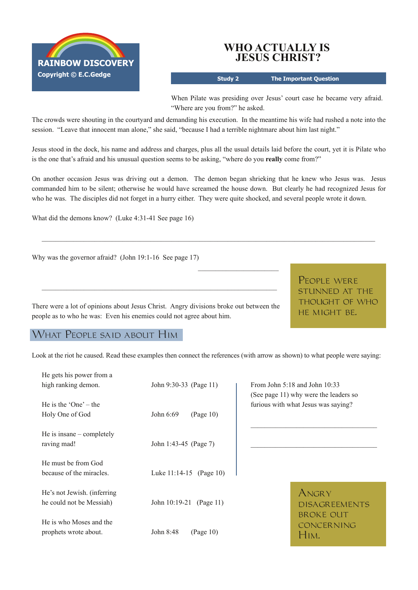

## **WHO ACTUALLY IS JESUS CHRIST?**

**Study 2 The Important Question**

When Pilate was presiding over Jesus' court case he became very afraid. "Where are you from?" he asked.

The crowds were shouting in the courtyard and demanding his execution. In the meantime his wife had rushed a note into the session. "Leave that innocent man alone," she said, "because I had a terrible nightmare about him last night."

Jesus stood in the dock, his name and address and charges, plus all the usual details laid before the court, yet it is Pilate who is the one that's afraid and his unusual question seems to be asking, "where do you **really** come from?"

On another occasion Jesus was driving out a demon. The demon began shrieking that he knew who Jesus was. Jesus commanded him to be silent; otherwise he would have screamed the house down. But clearly he had recognized Jesus for who he was. The disciples did not forget in a hurry either. They were quite shocked, and several people wrote it down.

 $\mathcal{L}_\mathcal{L} = \{ \mathcal{L}_\mathcal{L} = \{ \mathcal{L}_\mathcal{L} = \{ \mathcal{L}_\mathcal{L} = \{ \mathcal{L}_\mathcal{L} = \{ \mathcal{L}_\mathcal{L} = \{ \mathcal{L}_\mathcal{L} = \{ \mathcal{L}_\mathcal{L} = \{ \mathcal{L}_\mathcal{L} = \{ \mathcal{L}_\mathcal{L} = \{ \mathcal{L}_\mathcal{L} = \{ \mathcal{L}_\mathcal{L} = \{ \mathcal{L}_\mathcal{L} = \{ \mathcal{L}_\mathcal{L} = \{ \mathcal{L}_\mathcal{$ 

 $\frac{1}{2}$  ,  $\frac{1}{2}$  ,  $\frac{1}{2}$  ,  $\frac{1}{2}$  ,  $\frac{1}{2}$  ,  $\frac{1}{2}$  ,  $\frac{1}{2}$  ,  $\frac{1}{2}$  ,  $\frac{1}{2}$  ,  $\frac{1}{2}$  ,  $\frac{1}{2}$ 

What did the demons know? (Luke  $4:31-41$  See page 16)

Why was the governor afraid? (John  $19:1-16$  See page 17)

There were a lot of opinions about Jesus Christ. Angry divisions broke out between the people as to who he was: Even his enemies could not agree about him.

 $\_$  , and the set of the set of the set of the set of the set of the set of the set of the set of the set of the set of the set of the set of the set of the set of the set of the set of the set of the set of the set of th

People were stunned at the thought of who he might be.

## What People said about Him

Look at the riot he caused. Read these examples then connect the references (with arrow as shown) to what people were saying:

| He gets his power from a                                |                         |                                                                            |
|---------------------------------------------------------|-------------------------|----------------------------------------------------------------------------|
| high ranking demon.                                     | John 9:30-33 (Page 11)  | From John $5:18$ and John $10:33$<br>(See page 11) why were the leaders so |
| He is the 'One' $-$ the                                 |                         | furious with what Jesus was saying?                                        |
| Holy One of God                                         | John 6:69<br>(Page 10)  |                                                                            |
| He is insane $-$ completely<br>raving mad!              | John 1:43-45 (Page 7)   |                                                                            |
| He must be from God<br>because of the miracles.         | Luke 11:14-15 (Page 10) |                                                                            |
| He's not Jewish. (inferring<br>he could not be Messiah) | John 10:19-21 (Page 11) | ANGRY<br><b>DISAGREEMENTS</b>                                              |
| He is who Moses and the<br>prophets wrote about.        | John 8:48<br>(Page 10)  | <b>BROKE OUT</b><br><b>CONCERNING</b><br>HIM.                              |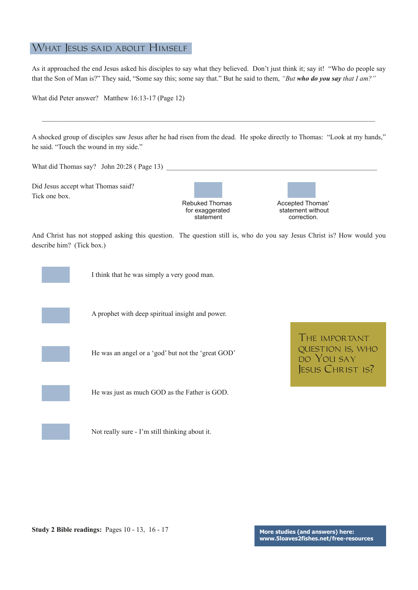## What Jesus said about Himself

As it approached the end Jesus asked his disciples to say what they believed. Don't just think it; say it! "Who do people say that the Son of Man is?" They said, "Some say this; some say that." But he said to them, *"But who do you say that I am?"*

What did Peter answer? Matthew 16:13-17 (Page 12)

A shocked group of disciples saw Jesus after he had risen from the dead. He spoke directly to Thomas: "Look at my hands," he said. "Touch the wound in my side."

 $\mathcal{L}_\mathcal{L} = \{ \mathcal{L}_\mathcal{L} = \{ \mathcal{L}_\mathcal{L} = \{ \mathcal{L}_\mathcal{L} = \{ \mathcal{L}_\mathcal{L} = \{ \mathcal{L}_\mathcal{L} = \{ \mathcal{L}_\mathcal{L} = \{ \mathcal{L}_\mathcal{L} = \{ \mathcal{L}_\mathcal{L} = \{ \mathcal{L}_\mathcal{L} = \{ \mathcal{L}_\mathcal{L} = \{ \mathcal{L}_\mathcal{L} = \{ \mathcal{L}_\mathcal{L} = \{ \mathcal{L}_\mathcal{L} = \{ \mathcal{L}_\mathcal{$ 

What did Thomas say? John 20:28 ( Page 13)

Did Jesus accept what Thomas said? Tick one box.

**Rebuked Thomas** for exaggerated statement

| Accepted Thomas'<br>statement without |  |  |  |  |
|---------------------------------------|--|--|--|--|
| correction.                           |  |  |  |  |

And Christ has not stopped asking this question. The question still is, who do you say Jesus Christ is? How would you describe him? (Tick box.)